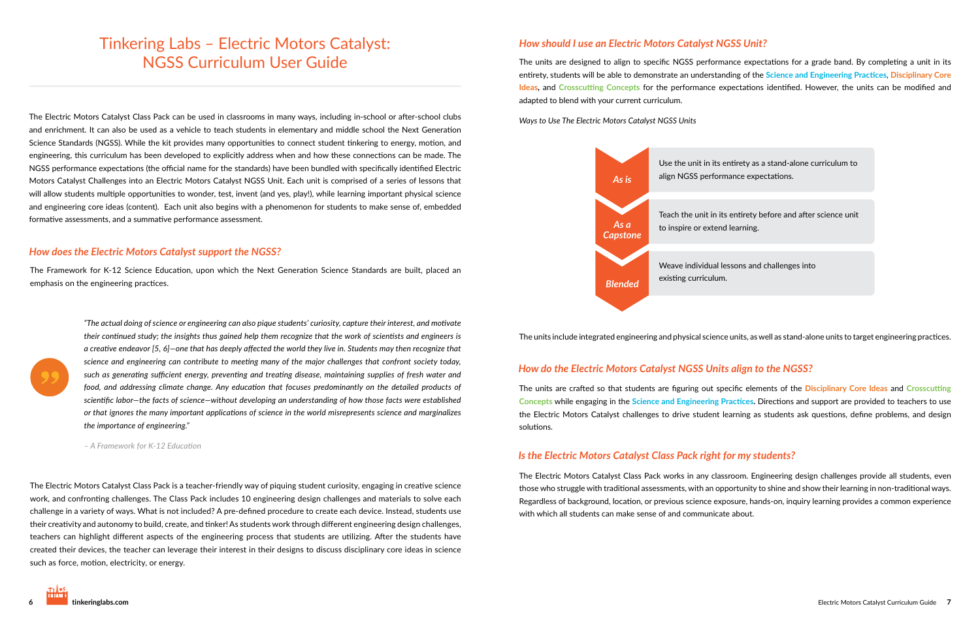# Tinkering Labs - Electric Motors Catalyst: NGSS Curriculum User Guide

The Electric Motors Catalyst Class Pack can be used in classrooms in many ways, including in-school or after-school clubs and enrichment. It can also be used as a vehicle to teach students in elementary and middle school the Next Generation Science Standards (NGSS). While the kit provides many opportunities to connect student tinkering to energy, motion, and engineering, this curriculum has been developed to explicitly address when and how these connections can be made. The NGSS performance expectations (the official name for the standards) have been bundled with specifically identified Electric Motors Catalyst Challenges into an Electric Motors Catalyst NGSS Unit. Each unit is comprised of a series of lessons that will allow students multiple opportunities to wonder, test, invent (and yes, play!), while learning important physical science and engineering core ideas (content). Each unit also begins with a phenomenon for students to make sense of, embedded formative assessments, and a summative performance assessment.

#### *How does the Electric Motors Catalyst support the NGSS?*

The Framework for K-12 Science Education, upon which the Next Generation Science Standards are built, placed an emphasis on the engineering practices.

> "The actual doing of science or engineering can also pique students' curiosity, capture their interest, and motivate their continued study; the insights thus gained help them recognize that the work of scientists and engineers is a creative endeavor [5, 6]—one that has deeply affected the world they live in. Students may then recognize that science and engineering can contribute to meeting many of the major challenges that confront society today, such as generating sufficient energy, preventing and treating disease, maintaining supplies of fresh water and food, and addressing climate change. Any education that focuses predominantly on the detailed products of  $\alpha$ *scientific labor—the facts of science—without developing an understanding of how those facts were established* or that ignores the many important applications of science in the world misrepresents science and marginalizes  $the$  importance of engineering."

*- A Framework for K-12 Education* 

The Electric Motors Catalyst Class Pack is a teacher-friendly way of piquing student curiosity, engaging in creative science work, and confronting challenges. The Class Pack includes 10 engineering design challenges and materials to solve each challenge in a variety of ways. What is not included? A pre-defined procedure to create each device. Instead, students use their creativity and autonomy to build, create, and tinker! As students work through different engineering design challenges, teachers can highlight different aspects of the engineering process that students are utilizing. After the students have created their devices, the teacher can leverage their interest in their designs to discuss disciplinary core ideas in science such as force, motion, electricity, or energy.

#### *How should I use an Electric Motors Catalyst NGSS Unit?*

The units are designed to align to specific NGSS performance expectations for a grade band. By completing a unit in its entirety, students will be able to demonstrate an understanding of the <mark>Scien</mark>ce and Engineering Practices, Disciplinary Core Ideas, and Crosscutting Concepts for the performance expectations identified. However, the units can be modified and adapted to blend with your current curriculum.

*Ways to Use The Electric Motors Catalyst NGSS Units* 

#### *How do the Electric Motors Catalyst NGSS Units align to the NGSS?*

The units are crafted so that students are figuring out specific elements of the <mark>Disciplinary Core Ideas</mark> and Crosscutting Concepts while engaging in the Science and Engineering Practices. Directions and support are provided to teachers to use the Electric Motors Catalyst challenges to drive student learning as students ask questions, define problems, and design solutions.

#### *Is the Electric Motors Catalyst Class Pack right for my students?*

The Electric Motors Catalyst Class Pack works in any classroom. Engineering design challenges provide all students, even those who struggle with traditional assessments, with an opportunity to shine and show their learning in non-traditional ways. Regardless of background, location, or previous science exposure, hands-on, inquiry learning provides a common experience with which all students can make sense of and communicate about.

Use the unit in its entirety as a stand-alone curriculum to align NGSS performance expectations.

Teach the unit in its entirety before and after science unit

Weave individual lessons and challenges into



The units include integrated engineering and physical science units, as well as stand-alone units to target engineering practices.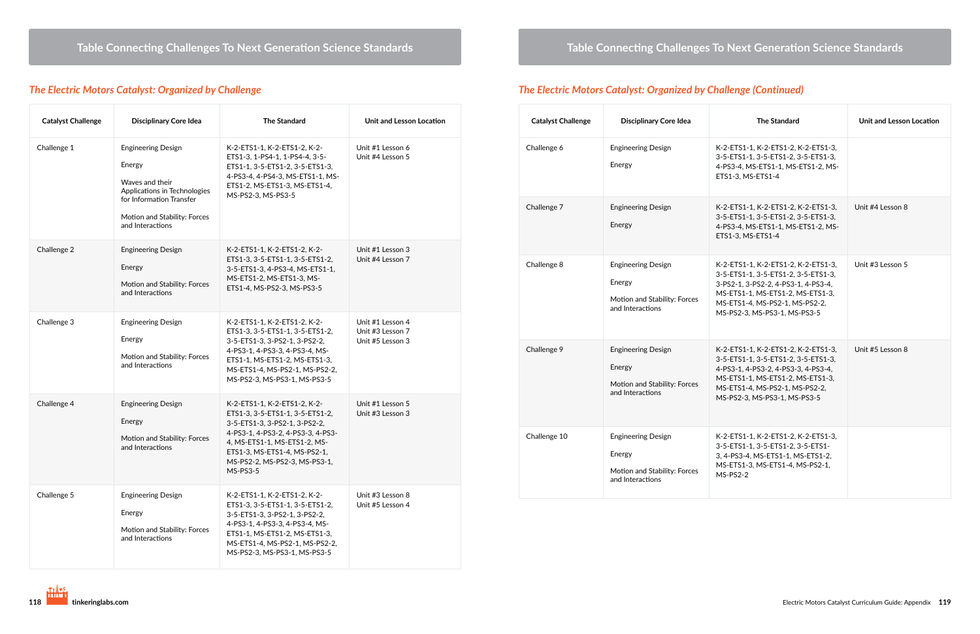## *The Electric Motors Catalyst: Organized by Challenge*

| <b>Catalyst Challenge</b> | <b>Disciplinary Core Idea</b>                                                                                                                                          | <b>The Standard</b>                                                                                                                                                                                                                                | Unit and Lesson Location                                 |
|---------------------------|------------------------------------------------------------------------------------------------------------------------------------------------------------------------|----------------------------------------------------------------------------------------------------------------------------------------------------------------------------------------------------------------------------------------------------|----------------------------------------------------------|
| Challenge 1               | <b>Engineering Design</b><br>Energy<br>Waves and their<br>Applications in Technologies<br>for Information Transfer<br>Motion and Stability: Forces<br>and Interactions | K-2-ETS1-1, K-2-ETS1-2, K-2-<br>ETS1-3, 1-PS4-1, 1-PS4-4, 3-5-<br>ETS1-1, 3-5-ETS1-2, 3-5-ETS1-3,<br>4-PS3-4, 4-PS4-3, MS-ETS1-1, MS-<br>ETS1-2, MS-ETS1-3, MS-ETS1-4,<br>MS-PS2-3, MS-PS3-5                                                       | Unit #1 Lesson 6<br>Unit #4 Lesson 5                     |
| Challenge 2               | <b>Engineering Design</b><br>Energy<br>Motion and Stability: Forces<br>and Interactions                                                                                | K-2-ETS1-1, K-2-ETS1-2, K-2-<br>ETS1-3, 3-5-ETS1-1, 3-5-ETS1-2,<br>3-5-ETS1-3, 4-PS3-4, MS-ETS1-1,<br>MS-ETS1-2, MS-ETS1-3, MS-<br>ETS1-4, MS-PS2-3, MS-PS3-5                                                                                      | Unit #1 Lesson 3<br>Unit #4 Lesson 7                     |
| Challenge 3               | <b>Engineering Design</b><br>Energy<br>Motion and Stability: Forces<br>and Interactions                                                                                | K-2-ETS1-1, K-2-ETS1-2, K-2-<br>ETS1-3, 3-5-ETS1-1, 3-5-ETS1-2,<br>3-5-ETS1-3, 3-PS2-1, 3-PS2-2,<br>4-PS3-1, 4-PS3-3, 4-PS3-4, MS-<br>ETS1-1, MS-ETS1-2, MS-ETS1-3,<br>MS-ETS1-4, MS-PS2-1, MS-PS2-2,<br>MS-PS2-3, MS-PS3-1, MS-PS3-5              | Unit #1 Lesson 4<br>Unit #3 Lesson 7<br>Unit #5 Lesson 3 |
| Challenge 4               | <b>Engineering Design</b><br>Energy<br>Motion and Stability: Forces<br>and Interactions                                                                                | K-2-ETS1-1, K-2-ETS1-2, K-2-<br>ETS1-3, 3-5-ETS1-1, 3-5-ETS1-2,<br>3-5-ETS1-3, 3-PS2-1, 3-PS2-2,<br>4-PS3-1, 4-PS3-2, 4-PS3-3, 4-PS3-<br>4, MS-ETS1-1, MS-ETS1-2, MS-<br>ETS1-3, MS-ETS1-4, MS-PS2-1,<br>MS-PS2-2, MS-PS2-3, MS-PS3-1,<br>MS-PS3-5 | Unit #1 Lesson 5<br>Unit #3 Lesson 3                     |
| Challenge 5               | <b>Engineering Design</b><br>Energy<br>Motion and Stability: Forces<br>and Interactions                                                                                | K-2-ETS1-1, K-2-ETS1-2, K-2-<br>ETS1-3, 3-5-ETS1-1, 3-5-ETS1-2,<br>3-5-ETS1-3, 3-PS2-1, 3-PS2-2,<br>4-PS3-1, 4-PS3-3, 4-PS3-4, MS-<br>ETS1-1, MS-ETS1-2, MS-ETS1-3,<br>MS-ETS1-4, MS-PS2-1, MS-PS2-2,<br>MS-PS2-3, MS-PS3-1, MS-PS3-5              | Unit #3 Lesson 8<br>Unit #5 Lesson 4                     |

#### $\bf{Table}$  Connecting Challenges To Next Generation Science Standards

## *The Electric Motors Catalyst: Organized by Challenge (Continued)*

| <b>Catalyst Challenge</b> | <b>Disciplinary Core Idea</b>                                                           | <b>The Standard</b>                                                                                                                                                                                                     | Unit and Lesson Location |
|---------------------------|-----------------------------------------------------------------------------------------|-------------------------------------------------------------------------------------------------------------------------------------------------------------------------------------------------------------------------|--------------------------|
| Challenge 6               | <b>Engineering Design</b><br>Energy                                                     | K-2-ETS1-1, K-2-ETS1-2, K-2-ETS1-3,<br>3-5-ETS1-1, 3-5-ETS1-2, 3-5-ETS1-3,<br>4-PS3-4, MS-ETS1-1, MS-ETS1-2, MS-<br>ETS1-3, MS-ETS1-4                                                                                   |                          |
| Challenge 7               | <b>Engineering Design</b><br>Energy                                                     | K-2-ETS1-1, K-2-ETS1-2, K-2-ETS1-3,<br>3-5-ETS1-1, 3-5-ETS1-2, 3-5-ETS1-3,<br>4-PS3-4, MS-ETS1-1, MS-ETS1-2, MS-<br>ETS1-3, MS-ETS1-4                                                                                   | Unit #4 Lesson 8         |
| Challenge 8               | <b>Engineering Design</b><br>Energy<br>Motion and Stability: Forces<br>and Interactions | K-2-ETS1-1, K-2-ETS1-2, K-2-ETS1-3,<br>3-5-ETS1-1, 3-5-ETS1-2, 3-5-ETS1-3,<br>3-PS2-1, 3-PS2-2, 4-PS3-1, 4-PS3-4,<br>MS-ETS1-1, MS-ETS1-2, MS-ETS1-3,<br>MS-ETS1-4, MS-PS2-1, MS-PS2-2,<br>MS-PS2-3, MS-PS3-1, MS-PS3-5 | Unit #3 Lesson 5         |
| Challenge 9               | <b>Engineering Design</b><br>Energy<br>Motion and Stability: Forces<br>and Interactions | K-2-ETS1-1, K-2-ETS1-2, K-2-ETS1-3,<br>3-5-ETS1-1, 3-5-ETS1-2, 3-5-ETS1-3,<br>4-PS3-1, 4-PS3-2, 4-PS3-3, 4-PS3-4,<br>MS-ETS1-1, MS-ETS1-2, MS-ETS1-3,<br>MS-ETS1-4, MS-PS2-1, MS-PS2-2,<br>MS-PS2-3, MS-PS3-1, MS-PS3-5 | Unit #5 Lesson 8         |
| Challenge 10              | <b>Engineering Design</b><br>Energy<br>Motion and Stability: Forces<br>and Interactions | K-2-ETS1-1, K-2-ETS1-2, K-2-ETS1-3,<br>3-5-ETS1-1, 3-5-ETS1-2, 3-5-ETS1-<br>3, 4-PS3-4, MS-ETS1-1, MS-ETS1-2,<br>MS-ETS1-3, MS-ETS1-4, MS-PS2-1,<br>$MS-PS2-2$                                                          |                          |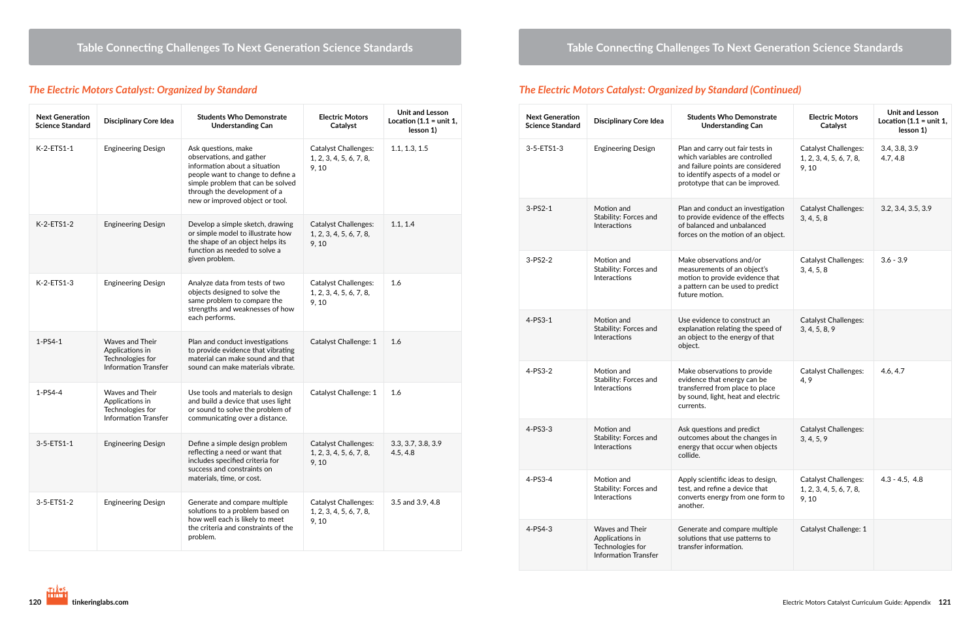## *The Electric Motors Catalyst: Organized by Standard*

| <b>Next Generation</b><br><b>Science Standard</b> | <b>Disciplinary Core Idea</b>                                                                | <b>Students Who Demonstrate</b><br><b>Understanding Can</b>                                                                                                                                                                   | <b>Electric Motors</b><br>Catalyst                              | <b>Unit and Lesson</b><br>Location (1.1 = unit 1,<br>lesson 1) |
|---------------------------------------------------|----------------------------------------------------------------------------------------------|-------------------------------------------------------------------------------------------------------------------------------------------------------------------------------------------------------------------------------|-----------------------------------------------------------------|----------------------------------------------------------------|
| K-2-ETS1-1                                        | <b>Engineering Design</b>                                                                    | Ask questions, make<br>observations, and gather<br>information about a situation<br>people want to change to define a<br>simple problem that can be solved<br>through the development of a<br>new or improved object or tool. | <b>Catalyst Challenges:</b><br>1, 2, 3, 4, 5, 6, 7, 8,<br>9, 10 | 1.1, 1.3, 1.5                                                  |
| K-2-ETS1-2                                        | <b>Engineering Design</b>                                                                    | Develop a simple sketch, drawing<br>or simple model to illustrate how<br>the shape of an object helps its<br>function as needed to solve a<br>given problem.                                                                  | <b>Catalyst Challenges:</b><br>1, 2, 3, 4, 5, 6, 7, 8,<br>9, 10 | 1.1, 1.4                                                       |
| K-2-ETS1-3                                        | <b>Engineering Design</b>                                                                    | Analyze data from tests of two<br>objects designed to solve the<br>same problem to compare the<br>strengths and weaknesses of how<br>each performs.                                                                           | <b>Catalyst Challenges:</b><br>1, 2, 3, 4, 5, 6, 7, 8,<br>9, 10 | 1.6                                                            |
| $1 - PS4 - 1$                                     | <b>Waves and Their</b><br>Applications in<br>Technologies for<br><b>Information Transfer</b> | Plan and conduct investigations<br>to provide evidence that vibrating<br>material can make sound and that<br>sound can make materials vibrate.                                                                                | Catalyst Challenge: 1                                           | 1.6                                                            |
| 1-PS4-4                                           | Waves and Their<br>Applications in<br>Technologies for<br><b>Information Transfer</b>        | Use tools and materials to design<br>and build a device that uses light<br>or sound to solve the problem of<br>communicating over a distance.                                                                                 | Catalyst Challenge: 1                                           | 1.6                                                            |
| 3-5-ETS1-1                                        | <b>Engineering Design</b>                                                                    | Define a simple design problem<br>reflecting a need or want that<br>includes specified criteria for<br>success and constraints on<br>materials, time, or cost.                                                                | <b>Catalyst Challenges:</b><br>1, 2, 3, 4, 5, 6, 7, 8,<br>9, 10 | 3.3, 3.7, 3.8, 3.9<br>4.5, 4.8                                 |
| 3-5-ETS1-2                                        | <b>Engineering Design</b>                                                                    | Generate and compare multiple<br>solutions to a problem based on<br>how well each is likely to meet<br>the criteria and constraints of the<br>problem.                                                                        | <b>Catalyst Challenges:</b><br>1, 2, 3, 4, 5, 6, 7, 8,<br>9, 10 | 3.5 and 3.9, 4.8                                               |

## *The Electric Motors Catalyst: Organized by Standard (Continued)*

| <b>Next Generation</b><br><b>Science Standard</b> | <b>Disciplinary Core Idea</b>                                                                | <b>Students Who Demonstrate</b><br><b>Understanding Can</b>                                                                                                                     | <b>Electric Motors</b><br>Catalyst                              | <b>Unit and Lesson</b><br>Location (1.1 = unit 1,<br>lesson 1) |
|---------------------------------------------------|----------------------------------------------------------------------------------------------|---------------------------------------------------------------------------------------------------------------------------------------------------------------------------------|-----------------------------------------------------------------|----------------------------------------------------------------|
| 3-5-ETS1-3                                        | <b>Engineering Design</b>                                                                    | Plan and carry out fair tests in<br>which variables are controlled<br>and failure points are considered<br>to identify aspects of a model or<br>prototype that can be improved. | <b>Catalyst Challenges:</b><br>1, 2, 3, 4, 5, 6, 7, 8,<br>9, 10 | 3.4, 3.8, 3.9<br>4.7, 4.8                                      |
| $3 - PS2 - 1$                                     | Motion and<br>Stability: Forces and<br><b>Interactions</b>                                   | Plan and conduct an investigation<br>to provide evidence of the effects<br>of balanced and unbalanced<br>forces on the motion of an object.                                     | <b>Catalyst Challenges:</b><br>3, 4, 5, 8                       | 3.2, 3.4, 3.5, 3.9                                             |
| $3-PS2-2$                                         | Motion and<br>Stability: Forces and<br>Interactions                                          | Make observations and/or<br>measurements of an object's<br>motion to provide evidence that<br>a pattern can be used to predict<br>future motion.                                | <b>Catalyst Challenges:</b><br>3, 4, 5, 8                       | $3.6 - 3.9$                                                    |
| $4-PS3-1$                                         | Motion and<br>Stability: Forces and<br><b>Interactions</b>                                   | Use evidence to construct an<br>explanation relating the speed of<br>an object to the energy of that<br>object.                                                                 | <b>Catalyst Challenges:</b><br>3, 4, 5, 8, 9                    |                                                                |
| 4-PS3-2                                           | Motion and<br>Stability: Forces and<br>Interactions                                          | Make observations to provide<br>evidence that energy can be<br>transferred from place to place<br>by sound, light, heat and electric<br>currents.                               | <b>Catalyst Challenges:</b><br>4, 9                             | 4.6, 4.7                                                       |
| $4-PS3-3$                                         | Motion and<br>Stability: Forces and<br><b>Interactions</b>                                   | Ask questions and predict<br>outcomes about the changes in<br>energy that occur when objects<br>collide.                                                                        | Catalyst Challenges:<br>3, 4, 5, 9                              |                                                                |
| 4-PS3-4                                           | Motion and<br>Stability: Forces and<br><b>Interactions</b>                                   | Apply scientific ideas to design,<br>test, and refine a device that<br>converts energy from one form to<br>another.                                                             | <b>Catalyst Challenges:</b><br>1, 2, 3, 4, 5, 6, 7, 8,<br>9, 10 | $4.3 - 4.5, 4.8$                                               |
| $4 - PS4 - 3$                                     | <b>Waves and Their</b><br>Applications in<br>Technologies for<br><b>Information Transfer</b> | Generate and compare multiple<br>solutions that use patterns to<br>transfer information.                                                                                        | Catalyst Challenge: 1                                           |                                                                |

#### $\bf{Table}$  Connecting Challenges To Next Generation Science Standards